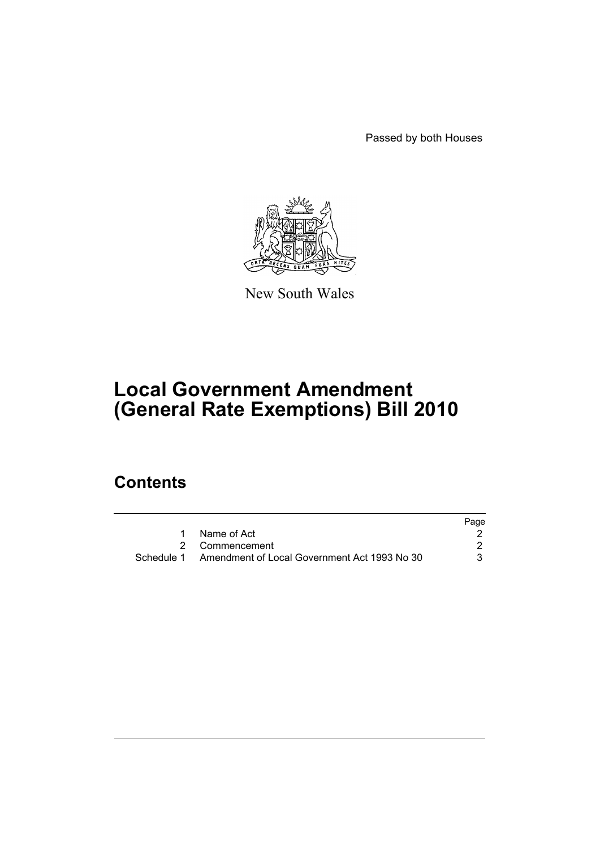Passed by both Houses



New South Wales

# **Local Government Amendment (General Rate Exemptions) Bill 2010**

# **Contents**

|                                                         | Page |
|---------------------------------------------------------|------|
| Name of Act                                             |      |
| 2 Commencement                                          |      |
| Schedule 1 Amendment of Local Government Act 1993 No 30 |      |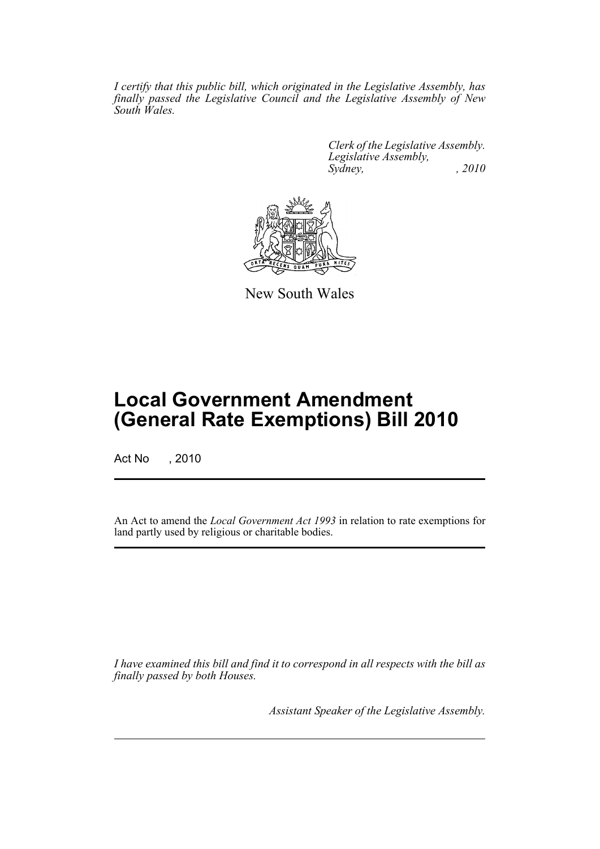*I certify that this public bill, which originated in the Legislative Assembly, has finally passed the Legislative Council and the Legislative Assembly of New South Wales.*

> *Clerk of the Legislative Assembly. Legislative Assembly, Sydney, , 2010*



New South Wales

# **Local Government Amendment (General Rate Exemptions) Bill 2010**

Act No , 2010

An Act to amend the *Local Government Act 1993* in relation to rate exemptions for land partly used by religious or charitable bodies.

*I have examined this bill and find it to correspond in all respects with the bill as finally passed by both Houses.*

*Assistant Speaker of the Legislative Assembly.*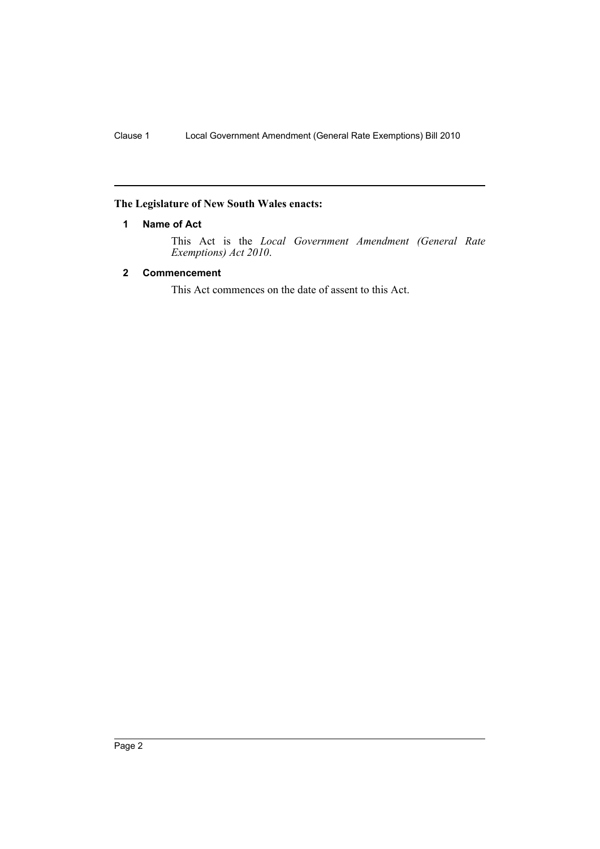## <span id="page-2-0"></span>**The Legislature of New South Wales enacts:**

## **1 Name of Act**

This Act is the *Local Government Amendment (General Rate Exemptions) Act 2010*.

## <span id="page-2-1"></span>**2 Commencement**

This Act commences on the date of assent to this Act.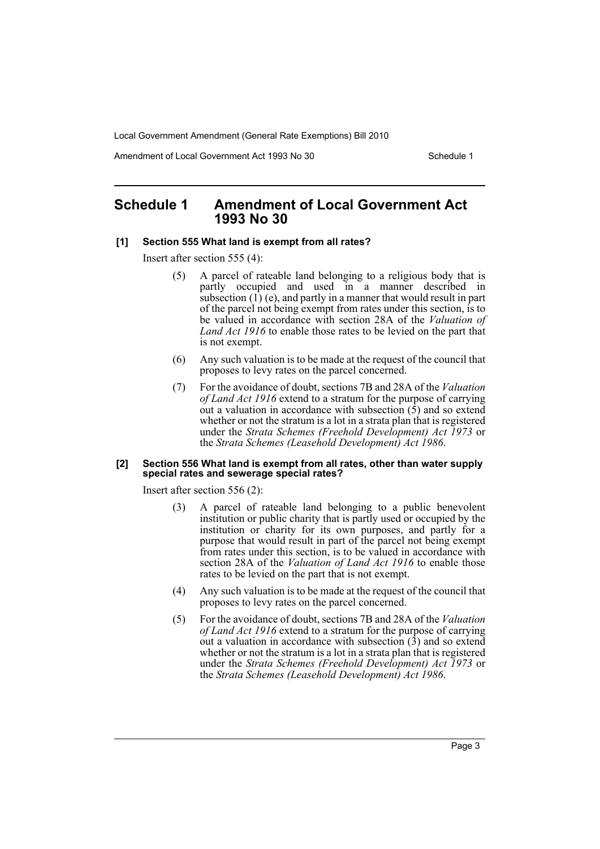Local Government Amendment (General Rate Exemptions) Bill 2010

Amendment of Local Government Act 1993 No 30 Schedule 1

# <span id="page-3-0"></span>**Schedule 1 Amendment of Local Government Act 1993 No 30**

#### **[1] Section 555 What land is exempt from all rates?**

Insert after section 555 (4):

- (5) A parcel of rateable land belonging to a religious body that is partly occupied and used in a manner described in subsection  $(1)$  (e), and partly in a manner that would result in part of the parcel not being exempt from rates under this section, is to be valued in accordance with section 28A of the *Valuation of Land Act 1916* to enable those rates to be levied on the part that is not exempt.
- (6) Any such valuation is to be made at the request of the council that proposes to levy rates on the parcel concerned.
- (7) For the avoidance of doubt, sections 7B and 28A of the *Valuation of Land Act 1916* extend to a stratum for the purpose of carrying out a valuation in accordance with subsection  $(\bar{5})$  and so extend whether or not the stratum is a lot in a strata plan that is registered under the *Strata Schemes (Freehold Development) Act 1973* or the *Strata Schemes (Leasehold Development) Act 1986*.

#### **[2] Section 556 What land is exempt from all rates, other than water supply special rates and sewerage special rates?**

Insert after section 556 (2):

- (3) A parcel of rateable land belonging to a public benevolent institution or public charity that is partly used or occupied by the institution or charity for its own purposes, and partly for a purpose that would result in part of the parcel not being exempt from rates under this section, is to be valued in accordance with section 28A of the *Valuation of Land Act 1916* to enable those rates to be levied on the part that is not exempt.
- (4) Any such valuation is to be made at the request of the council that proposes to levy rates on the parcel concerned.
- (5) For the avoidance of doubt, sections 7B and 28A of the *Valuation of Land Act 1916* extend to a stratum for the purpose of carrying out a valuation in accordance with subsection  $(\hat{3})$  and so extend whether or not the stratum is a lot in a strata plan that is registered under the *Strata Schemes (Freehold Development) Act 1973* or the *Strata Schemes (Leasehold Development) Act 1986*.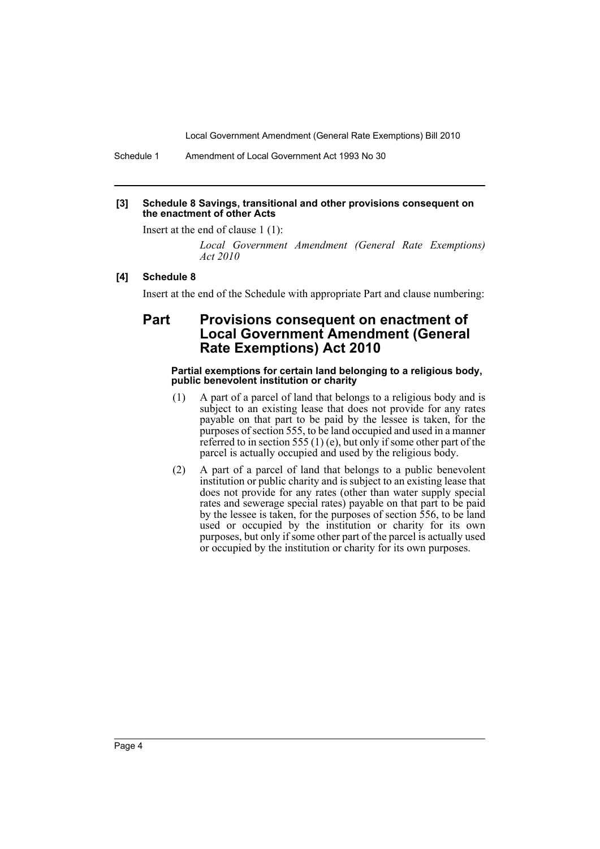Local Government Amendment (General Rate Exemptions) Bill 2010

Schedule 1 Amendment of Local Government Act 1993 No 30

### **[3] Schedule 8 Savings, transitional and other provisions consequent on the enactment of other Acts**

Insert at the end of clause 1 (1):

*Local Government Amendment (General Rate Exemptions) Act 2010*

## **[4] Schedule 8**

Insert at the end of the Schedule with appropriate Part and clause numbering:

# **Part Provisions consequent on enactment of Local Government Amendment (General Rate Exemptions) Act 2010**

#### **Partial exemptions for certain land belonging to a religious body, public benevolent institution or charity**

- (1) A part of a parcel of land that belongs to a religious body and is subject to an existing lease that does not provide for any rates payable on that part to be paid by the lessee is taken, for the purposes of section 555, to be land occupied and used in a manner referred to in section 555 (1) (e), but only if some other part of the parcel is actually occupied and used by the religious body.
- (2) A part of a parcel of land that belongs to a public benevolent institution or public charity and is subject to an existing lease that does not provide for any rates (other than water supply special rates and sewerage special rates) payable on that part to be paid by the lessee is taken, for the purposes of section 556, to be land used or occupied by the institution or charity for its own purposes, but only if some other part of the parcel is actually used or occupied by the institution or charity for its own purposes.